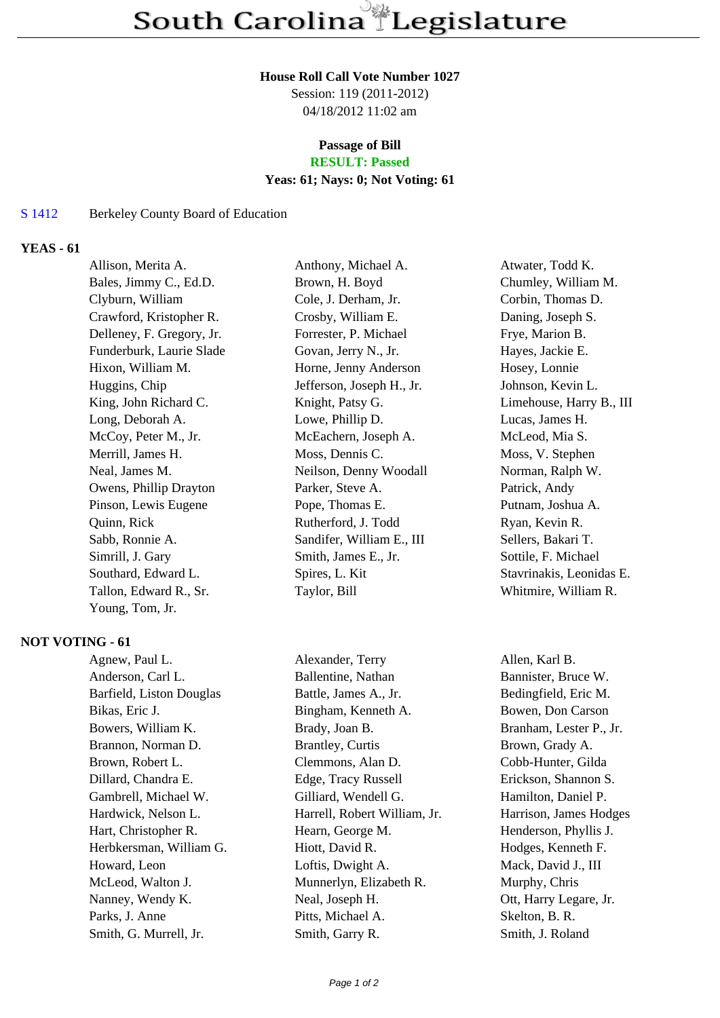#### **House Roll Call Vote Number 1027**

Session: 119 (2011-2012) 04/18/2012 11:02 am

# **Passage of Bill**

## **RESULT: Passed**

### **Yeas: 61; Nays: 0; Not Voting: 61**

#### S 1412 Berkeley County Board of Education

#### **YEAS - 61**

| Allison, Merita A.        | Anthony, Michael A.       | Atwater, Todd K.         |
|---------------------------|---------------------------|--------------------------|
| Bales, Jimmy C., Ed.D.    | Brown, H. Boyd            | Chumley, William M.      |
| Clyburn, William          | Cole, J. Derham, Jr.      | Corbin, Thomas D.        |
| Crawford, Kristopher R.   | Crosby, William E.        | Daning, Joseph S.        |
| Delleney, F. Gregory, Jr. | Forrester, P. Michael     | Frye, Marion B.          |
| Funderburk, Laurie Slade  | Govan, Jerry N., Jr.      | Hayes, Jackie E.         |
| Hixon, William M.         | Horne, Jenny Anderson     | Hosey, Lonnie            |
| Huggins, Chip             | Jefferson, Joseph H., Jr. | Johnson, Kevin L.        |
| King, John Richard C.     | Knight, Patsy G.          | Limehouse, Harry B., III |
| Long, Deborah A.          | Lowe, Phillip D.          | Lucas, James H.          |
| McCoy, Peter M., Jr.      | McEachern, Joseph A.      | McLeod, Mia S.           |
| Merrill, James H.         | Moss, Dennis C.           | Moss, V. Stephen         |
| Neal, James M.            | Neilson, Denny Woodall    | Norman, Ralph W.         |
| Owens, Phillip Drayton    | Parker, Steve A.          | Patrick, Andy            |
| Pinson, Lewis Eugene      | Pope, Thomas E.           | Putnam, Joshua A.        |
| Quinn, Rick               | Rutherford, J. Todd       | Ryan, Kevin R.           |
| Sabb, Ronnie A.           | Sandifer, William E., III | Sellers, Bakari T.       |
| Simrill, J. Gary          | Smith, James E., Jr.      | Sottile, F. Michael      |
| Southard, Edward L.       | Spires, L. Kit            | Stavrinakis, Leonidas E. |
| Tallon, Edward R., Sr.    | Taylor, Bill              | Whitmire, William R.     |
| Young, Tom, Jr.           |                           |                          |

#### **NOT VOTING - 61**

Anderson, Carl L. Ballentine, Nathan Bannister, Bruce W. Barfield, Liston Douglas Battle, James A., Jr. Bedingfield, Eric M. Bikas, Eric J. Bingham, Kenneth A. Bowen, Don Carson Bowers, William K. Brady, Joan B. Branham, Lester P., Jr. Brannon, Norman D. Brantley, Curtis Brown, Grady A. Brown, Robert L. Clemmons, Alan D. Cobb-Hunter, Gilda Dillard, Chandra E. Edge, Tracy Russell Erickson, Shannon S. Gambrell, Michael W. Gilliard, Wendell G. Hamilton, Daniel P. Hardwick, Nelson L. Harrell, Robert William, Jr. Harrison, James Hodges Hart, Christopher R. Hearn, George M. Henderson, Phyllis J. Herbkersman, William G. Hiott, David R. Hodges, Kenneth F. Howard, Leon Loftis, Dwight A. Mack, David J., III McLeod, Walton J. Munnerlyn, Elizabeth R. Murphy, Chris Nanney, Wendy K. Neal, Joseph H. Ott, Harry Legare, Jr. Parks, J. Anne Pitts, Michael A. Skelton, B. R.

Agnew, Paul L. Alexander, Terry Allen, Karl B. Smith, G. Murrell, Jr. Smith, Garry R. Smith, J. Roland